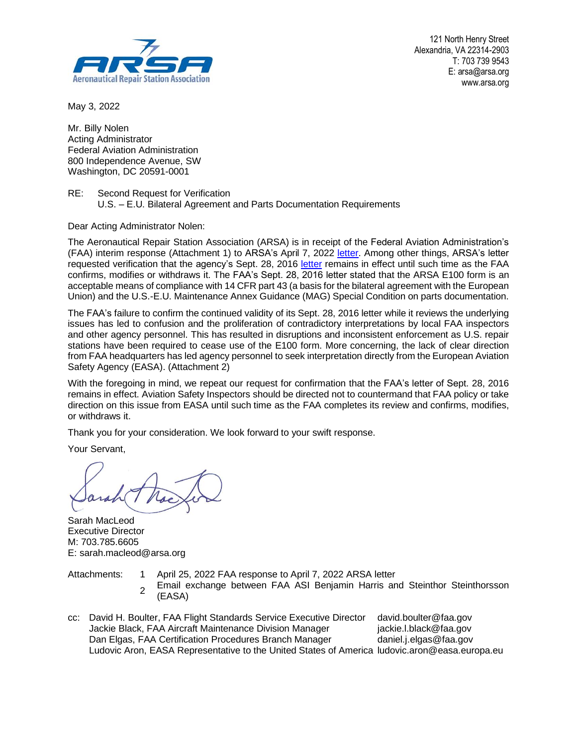

121 North Henry Street Alexandria, VA 22314-2903 T: 703 739 9543 E: arsa@arsa.org www.arsa.org

May 3, 2022

Mr. Billy Nolen Acting Administrator Federal Aviation Administration 800 Independence Avenue, SW Washington, DC 20591-0001

RE: Second Request for Verification U.S. – E.U. Bilateral Agreement and Parts Documentation Requirements

Dear Acting Administrator Nolen:

The Aeronautical Repair Station Association (ARSA) is in receipt of the Federal Aviation Administration's (FAA) interim response (Attachment 1) to ARSA's April 7, 2022 [letter.](https://arsa.org/wp-content/uploads/2021/01/ARSA-E100-Letter-to-Nolan-04072022.pdf) Among other things, ARSA's letter requested verification that the agency's Sept. 28, 2016 [letter](http://arsa.org/wp-content/uploads/2016/09/FAA-letter-accepting-ARSA-Form-E100-20160928.pdf) remains in effect until such time as the FAA confirms, modifies or withdraws it. The FAA's Sept. 28, 2016 letter stated that the ARSA E100 form is an acceptable means of compliance with 14 CFR part 43 (a basis for the bilateral agreement with the European Union) and the U.S.-E.U. Maintenance Annex Guidance (MAG) Special Condition on parts documentation.

The FAA's failure to confirm the continued validity of its Sept. 28, 2016 letter while it reviews the underlying issues has led to confusion and the proliferation of contradictory interpretations by local FAA inspectors and other agency personnel. This has resulted in disruptions and inconsistent enforcement as U.S. repair stations have been required to cease use of the E100 form. More concerning, the lack of clear direction from FAA headquarters has led agency personnel to seek interpretation directly from the European Aviation Safety Agency (EASA). (Attachment 2)

With the foregoing in mind, we repeat our request for confirmation that the FAA's letter of Sept. 28, 2016 remains in effect. Aviation Safety Inspectors should be directed not to countermand that FAA policy or take direction on this issue from EASA until such time as the FAA completes its review and confirms, modifies, or withdraws it.

Thank you for your consideration. We look forward to your swift response.

Your Servant,

Sarah MacLeod Executive Director M: 703.785.6605 E: sarah.macleod@arsa.org

Attachments: 1 April 25, 2022 FAA response to April 7, 2022 ARSA letter

- 2 Email exchange between FAA ASI Benjamin Harris and Steinthor Steinthorsson (EASA)
- cc: David H. Boulter, FAA Flight Standards Service Executive Director david.boulter@faa.gov Jackie Black, FAA Aircraft Maintenance Division Manager jackie.l.black@faa.gov Dan Elgas, FAA Certification Procedures Branch Manager daniel.j.elgas@faa.gov Ludovic Aron, EASA Representative to the United States of America ludovic.aron@easa.europa.eu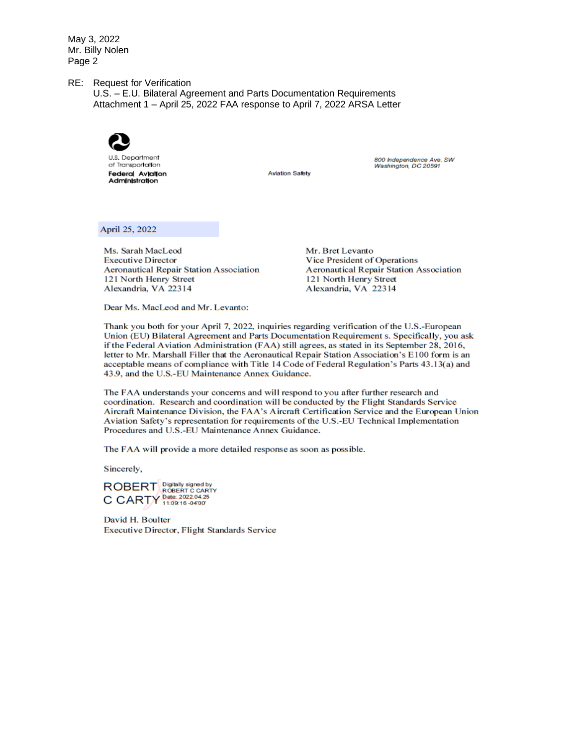May 3, 2022 Mr. Billy Nolen Page 2

RE: Request for Verification

U.S. - E.U. Bilateral Agreement and Parts Documentation Requirements Attachment 1 - April 25, 2022 FAA response to April 7, 2022 ARSA Letter



**Aviation Safety** 

800 Independence Ave. SW Washington, DC 20591

April 25, 2022

Ms. Sarah MacLeod **Executive Director Aeronautical Repair Station Association** 121 North Henry Street Alexandria, VA 22314

Mr. Bret Levanto Vice President of Operations **Aeronautical Repair Station Association** 121 North Henry Street Alexandria, VA 22314

Dear Ms. MacLeod and Mr. Levanto:

Thank you both for your April 7, 2022, inquiries regarding verification of the U.S.-European Union (EU) Bilateral Agreement and Parts Documentation Requirement s. Specifically, you ask if the Federal Aviation Administration (FAA) still agrees, as stated in its September 28, 2016, letter to Mr. Marshall Filler that the Aeronautical Repair Station Association's E100 form is an acceptable means of compliance with Title 14 Code of Federal Regulation's Parts 43.13(a) and 43.9, and the U.S.-EU Maintenance Annex Guidance.

The FAA understands your concerns and will respond to you after further research and coordination. Research and coordination will be conducted by the Flight Standards Service Aircraft Maintenance Division, the FAA's Aircraft Certification Service and the European Union Aviation Safety's representation for requirements of the U.S.-EU Technical Implementation Procedures and U.S.-EU Maintenance Annex Guidance.

The FAA will provide a more detailed response as soon as possible.

Sincerely,

ROBERT ROBERT C CARTY C CARTY Date: 2022.04.25

David H. Boulter **Executive Director, Flight Standards Service**